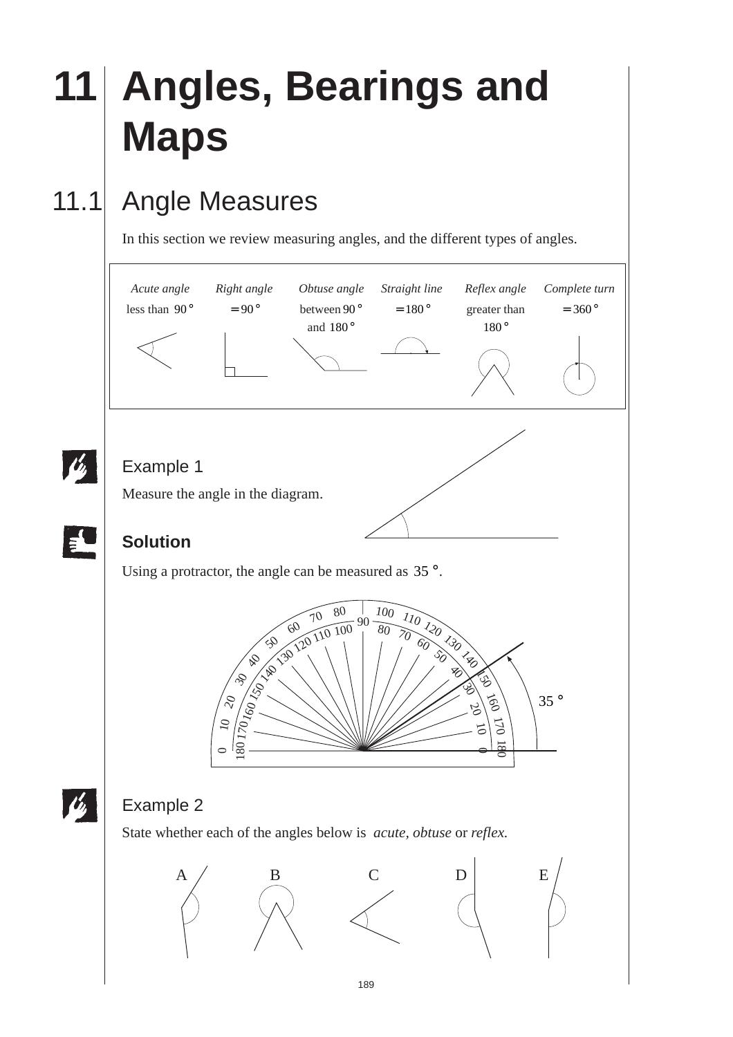# **11 Angles, Bearings and Maps**

### 11.1 Angle Measures

In this section we review measuring angles, and the different types of angles.

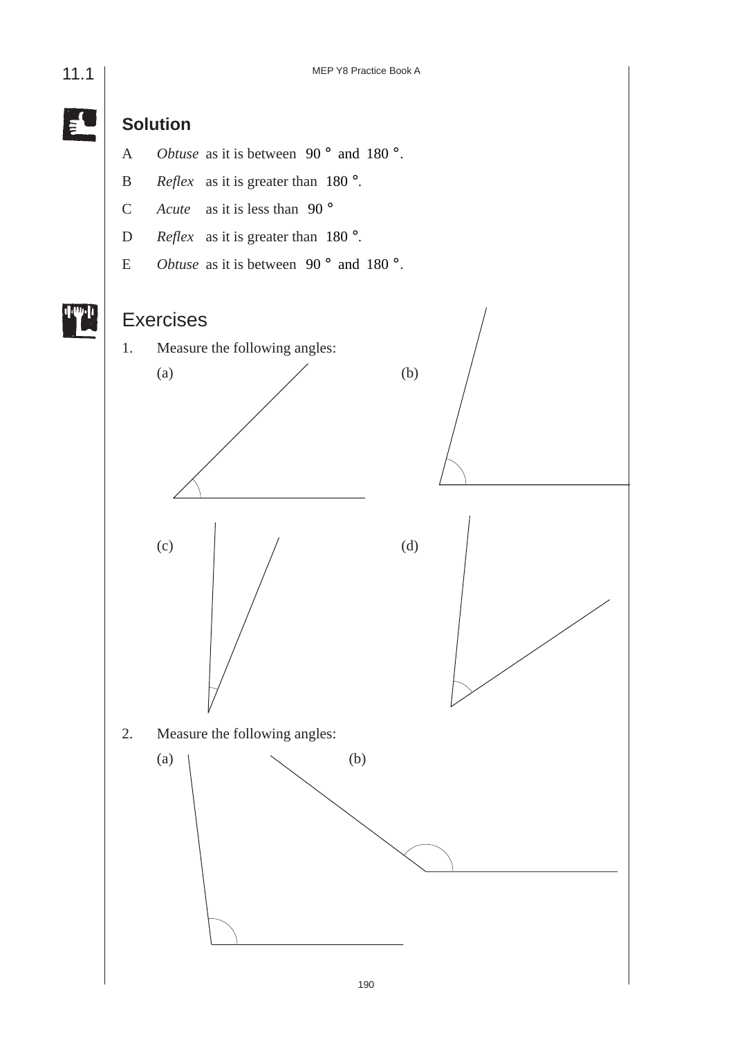E **Solution** A *Obtuse* as it is between  $90^\circ$  and  $180^\circ$ . B *Reflex* as it is greater than 180 °. C *Acute* as it is less than 90 ° D *Reflex* as it is greater than 180 °. E *Obtuse* as it is between  $90^\circ$  and  $180^\circ$ . Exercises 1. Measure the following angles: (a)  $($ ) (c)  $($   $($ 2. Measure the following angles: (a)  $\setminus$  (b)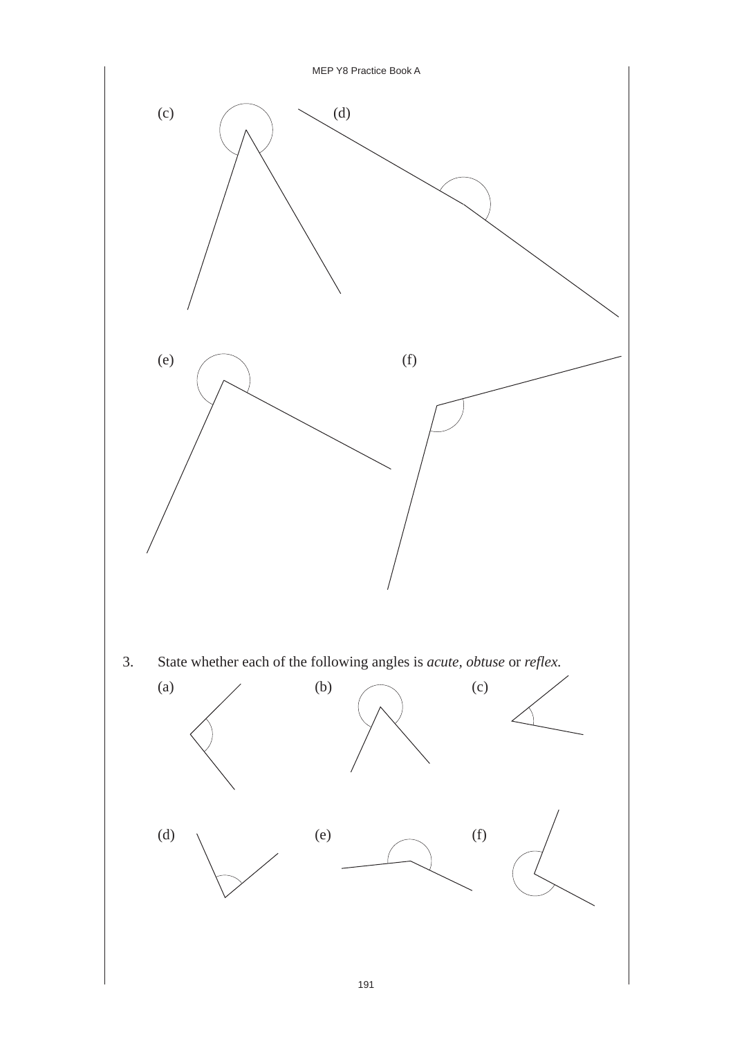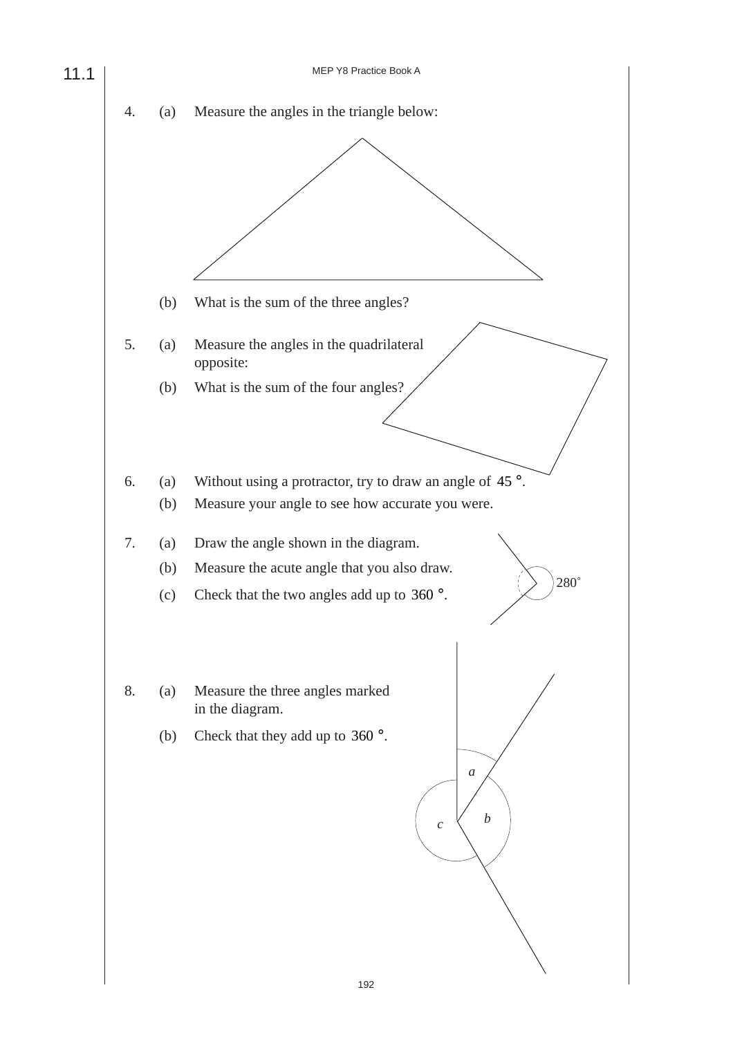MEP Y8 Practice Book A 4. (a) Measure the angles in the triangle below: (b) What is the sum of the three angles? 5. (a) Measure the angles in the quadrilateral opposite: (b) What is the sum of the four angles? 6. (a) Without using a protractor, try to draw an angle of  $45^\circ$ . (b) Measure your angle to see how accurate you were. 7. (a) Draw the angle shown in the diagram. (b) Measure the acute angle that you also draw. (c) Check that the two angles add up to 360 °. 8. (a) Measure the three angles marked in the diagram. (b) Check that they add up to 360 °. 11.1 280˚ *a b c*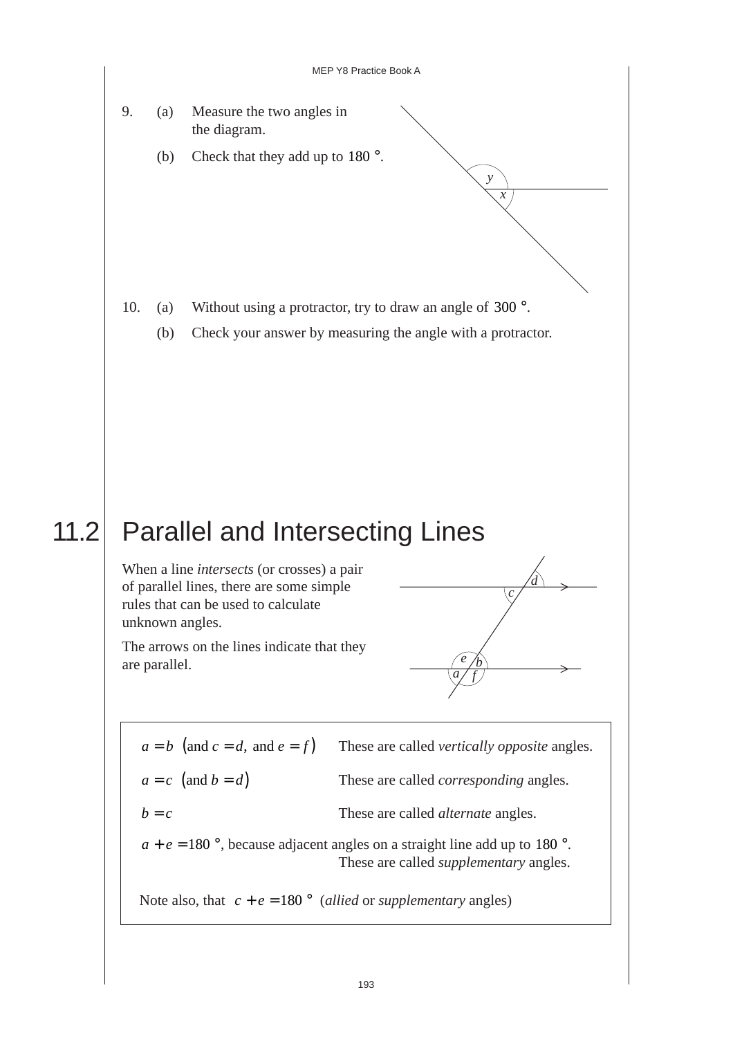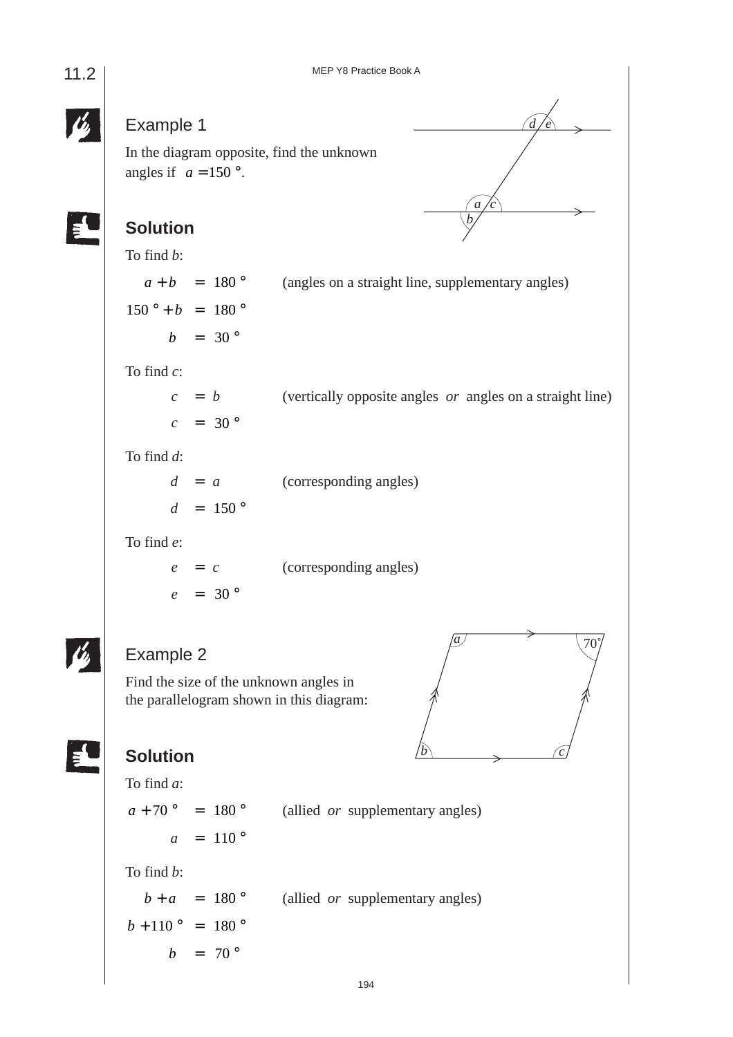### Example 1

In the diagram opposite, find the unknown angles if  $a = 150$ °.

#### **Solution**

To find *b*:

 $a + b = 180^\circ$  (angles on a straight line, supplementary angles)  $150^{\circ} + b = 180^{\circ}$  $b = 30^{\circ}$ To find *c*:  $c = b$  (vertically opposite angles *or* angles on a straight line)  $c = 30^{\circ}$ 

To find *d*:

| $d = a$           | (corresponding angles) |
|-------------------|------------------------|
| $d = 150^{\circ}$ |                        |

To find *e*:

*e* = *c* (corresponding angles)  $e = 30^{\circ}$ 

#### Example 2

Find the size of the unknown angles in the parallelogram shown in this diagram:



*d e*

*a c b*

#### **Solution**

To find *a*:  $a + 70$  ° = 180 ° (allied *or* supplementary angles)  $a = 110^{\circ}$ To find *b*:  $b + a = 180^\circ$  (allied *or* supplementary angles)  $b + 110^{\circ} = 180^{\circ}$  $b = 70^\circ$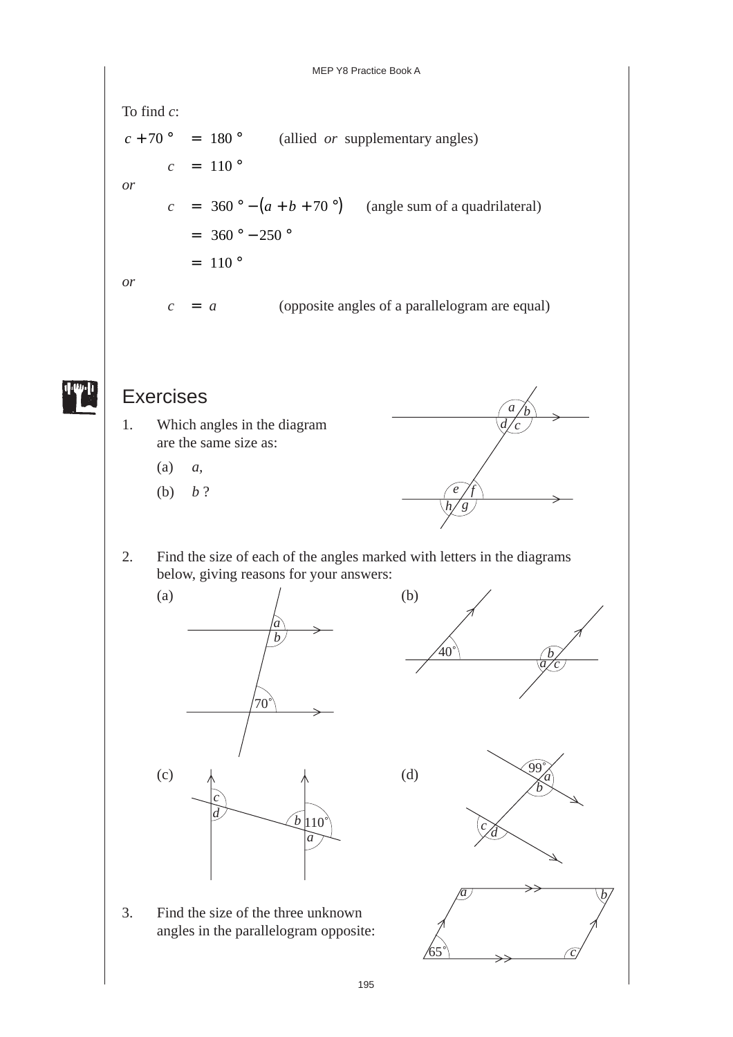To find *c*:  $c + 70$  ° = 180 ° (allied *or* supplementary angles)  $c = 110^{\circ}$ *or*  $c = 360^\circ - (a + b + 70^\circ)$  (angle sum of a quadrilateral)  $= 360$  °  $- 250$  °  $= 110°$ *or*  $c = a$  (opposite angles of a parallelogram are equal)



### Exercises

- 1. Which angles in the diagram are the same size as:
	- (a) *a,*
	- (b) *b* ?



2. Find the size of each of the angles marked with letters in the diagrams below, giving reasons for your answers:



3. Find the size of the three unknown angles in the parallelogram opposite:

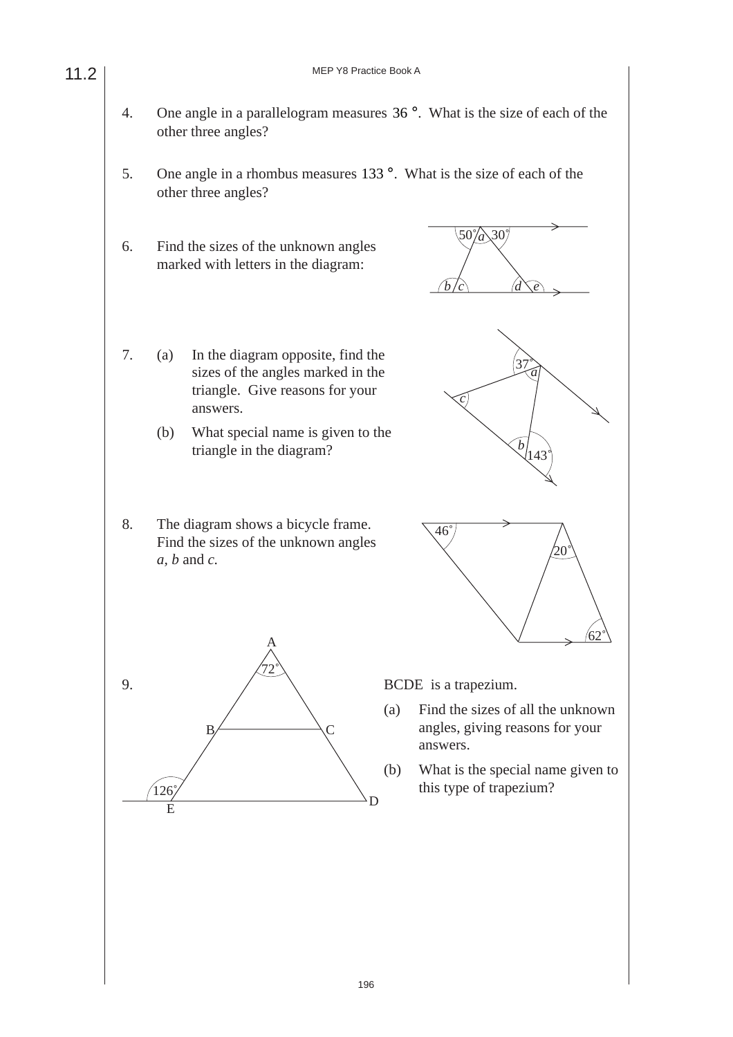- 4. One angle in a parallelogram measures 36 °. What is the size of each of the other three angles?
- 5. One angle in a rhombus measures 133°. What is the size of each of the other three angles?
- 6. Find the sizes of the unknown angles marked with letters in the diagram:

11.2

- 7. (a) In the diagram opposite, find the sizes of the angles marked in the triangle. Give reasons for your answers.
	- (b) What special name is given to the triangle in the diagram?
- 8. The diagram shows a bicycle frame. Find the sizes of the unknown angles *a, b* and *c.*



 $(50\%)$  30 $($ 

9.  $\angle$   $\angle$  BCDE is a trapezium.  $B \left\langle C \right\rangle$ A 72˚  $\overline{E}$  D  $126$ 

- (a) Find the sizes of all the unknown angles, giving reasons for your answers.
- (b) What is the special name given to this type of trapezium?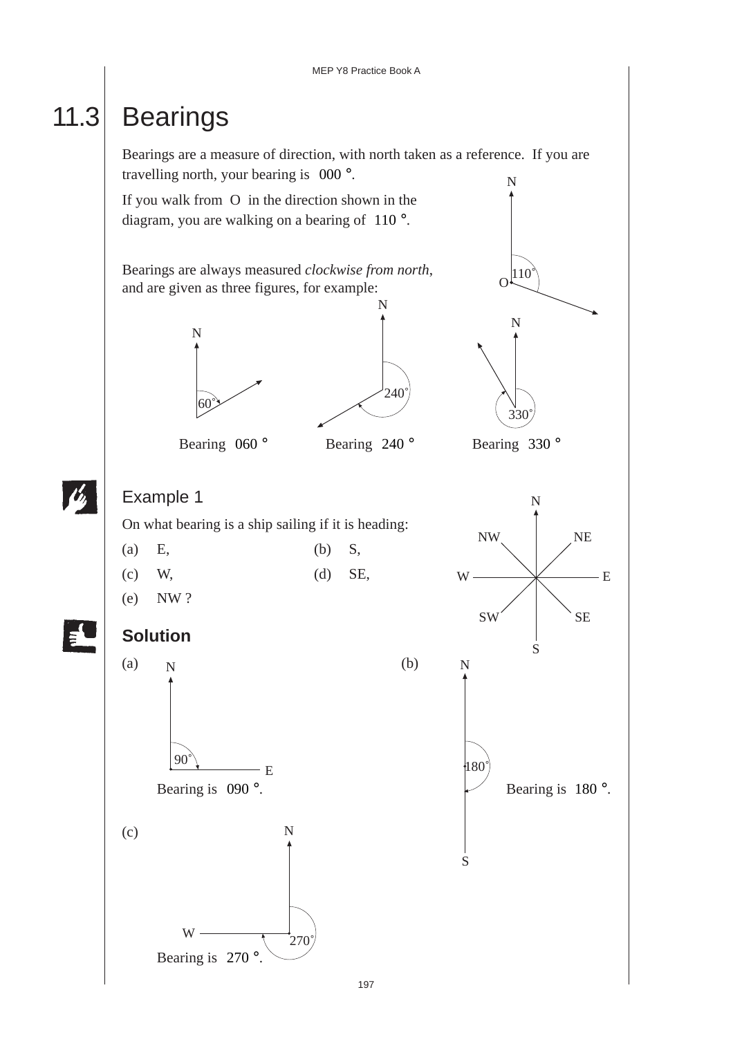## 11.3 Bearings

Bearings are a measure of direction, with north taken as a reference. If you are travelling north, your bearing is 000 °. N

If you walk from O in the direction shown in the diagram, you are walking on a bearing of 110 °.

Bearings are always measured *clockwise from north*, and are given as three figures, for example: N







On what bearing is a ship sailing if it is heading:

| $(a)$ E, | $(b)$ S, |           |
|----------|----------|-----------|
| $(c)$ W, |          | $(d)$ SE, |

(e) NW ?



#### **Solution**





S

 $O<sup>[110]</sup>$ </sup>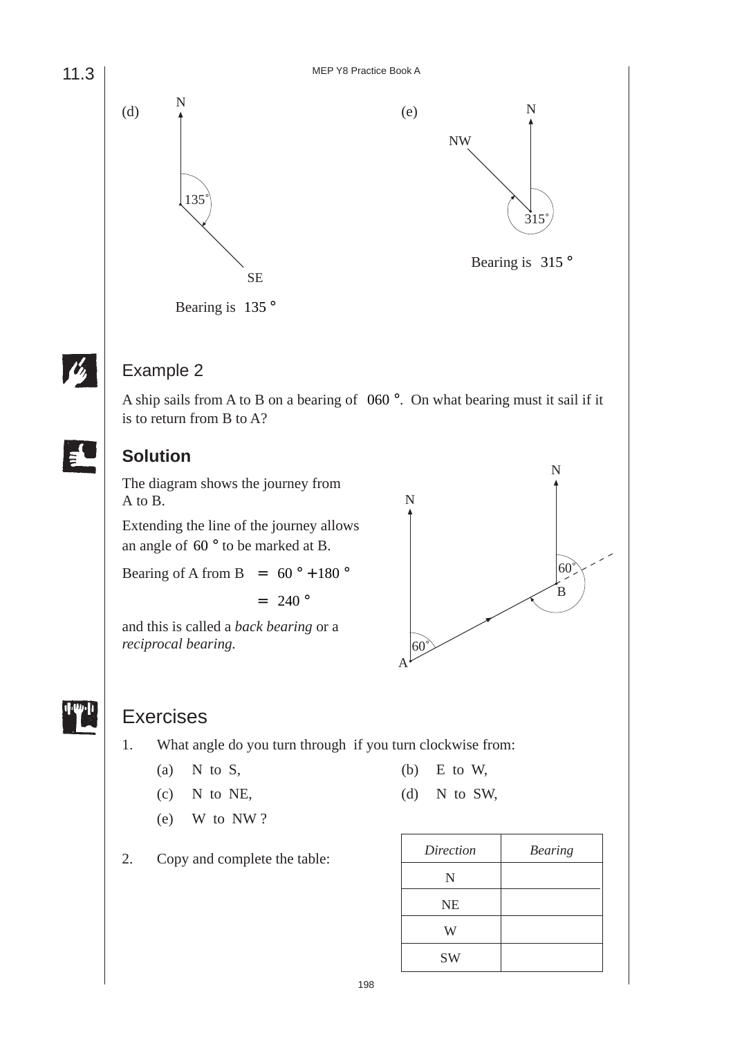11.3





#### Example 2

A ship sails from A to B on a bearing of 060 °. On what bearing must it sail if it is to return from B to A?

#### **Solution**

The diagram shows the journey from A to B.

Extending the line of the journey allows an angle of 60 ° to be marked at B.

Bearing of A from B =  $60^\circ + 180^\circ$ 

 $= 240$  °

and this is called a *back bearing* or a *reciprocal bearing.*





#### Exercises

- 1. What angle do you turn through if you turn clockwise from:
	- (a) N to S,  $(6)$  E to W,
	- (c) N to NE, (d) N to SW,
	- (e) W to NW ?
- 
- 
- 
- 2. Copy and complete the table:

| Direction | <b>Bearing</b> |
|-----------|----------------|
| N         |                |
| <b>NE</b> |                |
| W         |                |
| <b>SW</b> |                |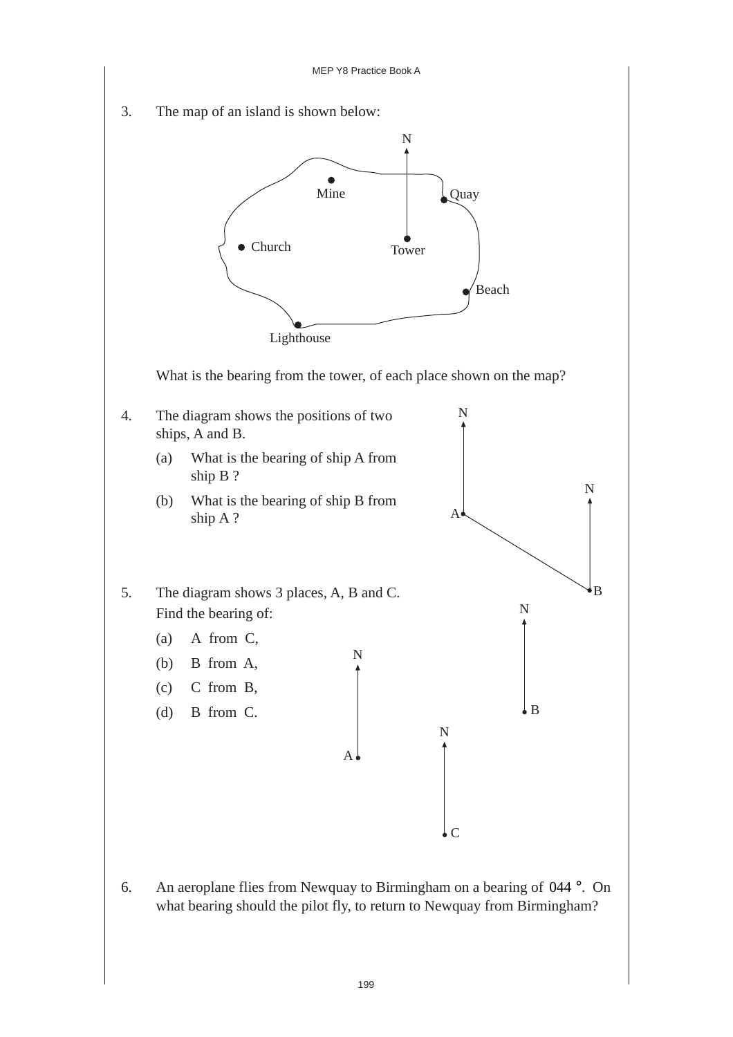

6. An aeroplane flies from Newquay to Birmingham on a bearing of 044 °. On what bearing should the pilot fly, to return to Newquay from Birmingham?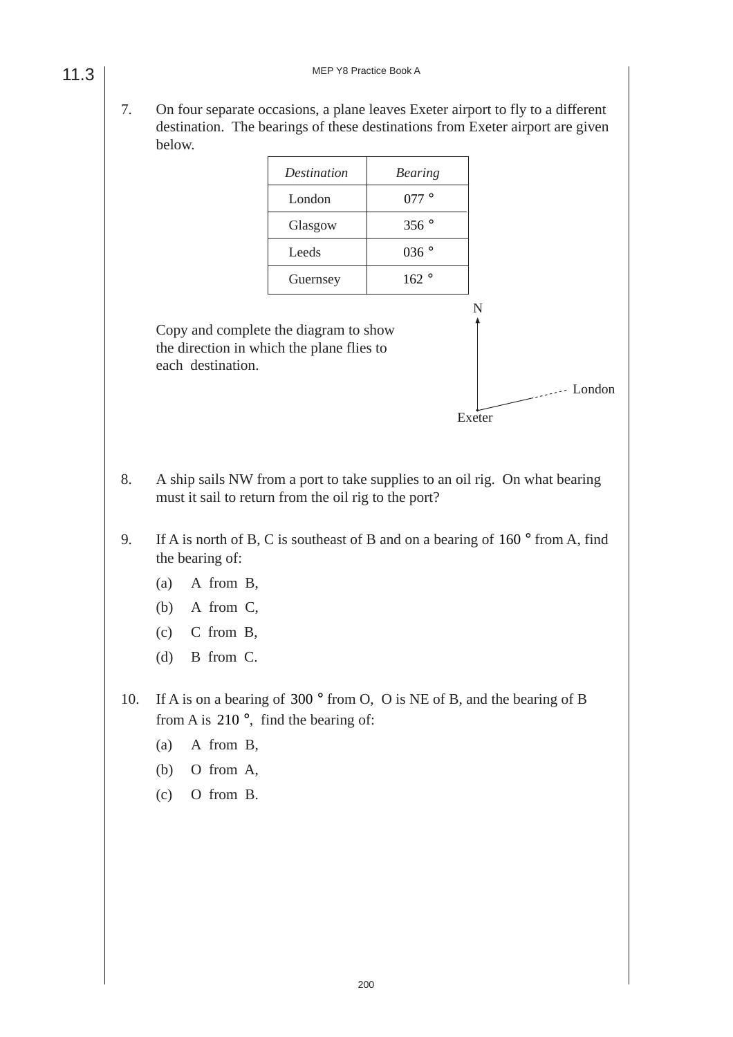7. On four separate occasions, a plane leaves Exeter airport to fly to a different destination. The bearings of these destinations from Exeter airport are given below.

| Destination | <b>Bearing</b> |
|-------------|----------------|
| London      | 077°           |
| Glasgow     | 356°           |
| Leeds       | 036°           |
| Guernsey    | 162°           |

Copy and complete the diagram to show the direction in which the plane flies to each destination.



8. A ship sails NW from a port to take supplies to an oil rig. On what bearing must it sail to return from the oil rig to the port?

- 9. If A is north of B, C is southeast of B and on a bearing of 160 ° from A, find the bearing of:
	- (a) A from B,
	- (b) A from C,
	- (c) C from B,
	- (d) B from C.
- 10. If A is on a bearing of 300 ° from O, O is NE of B, and the bearing of B from A is  $210^\circ$ , find the bearing of:
	- (a) A from B,
	- (b) O from A,
	- (c) O from B.

11.3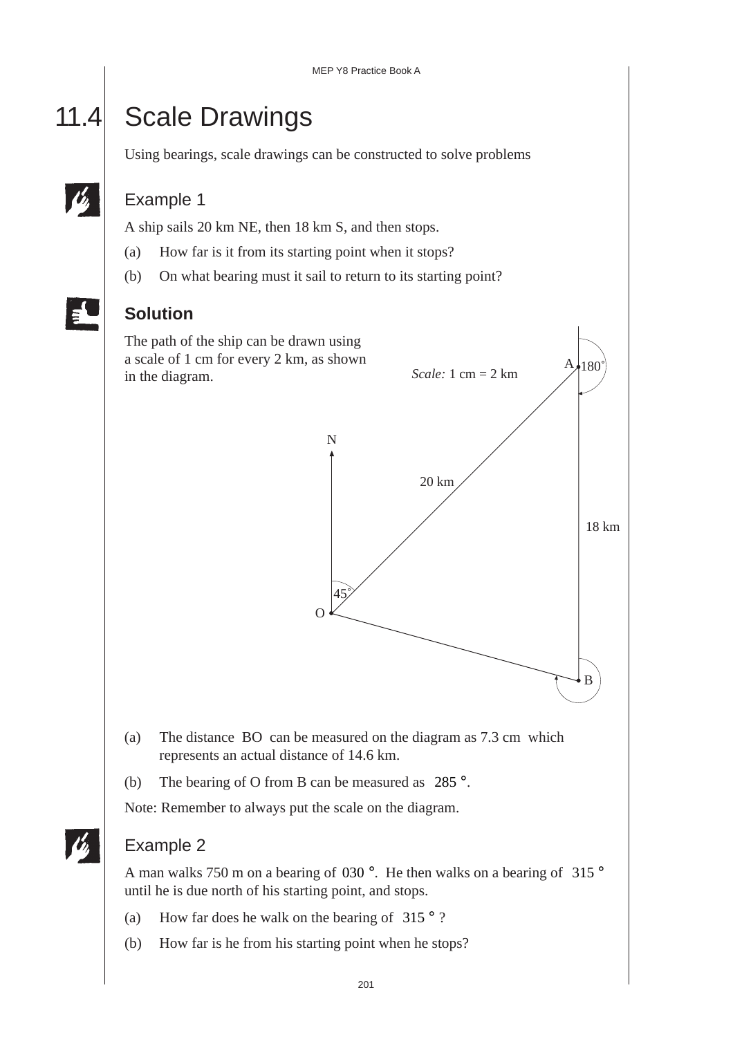## 11.4 Scale Drawings

Using bearings, scale drawings can be constructed to solve problems

#### Example 1

A ship sails 20 km NE, then 18 km S, and then stops.

- (a) How far is it from its starting point when it stops?
- (b) On what bearing must it sail to return to its starting point?



#### **Solution**



- (a) The distance BO can be measured on the diagram as 7.3 cm which represents an actual distance of 14.6 km.
- (b) The bearing of O from B can be measured as 285 °.

Note: Remember to always put the scale on the diagram.

#### Example 2

A man walks 750 m on a bearing of 030 °. He then walks on a bearing of 315 ° until he is due north of his starting point, and stops.

- (a) How far does he walk on the bearing of  $315°$ ?
- (b) How far is he from his starting point when he stops?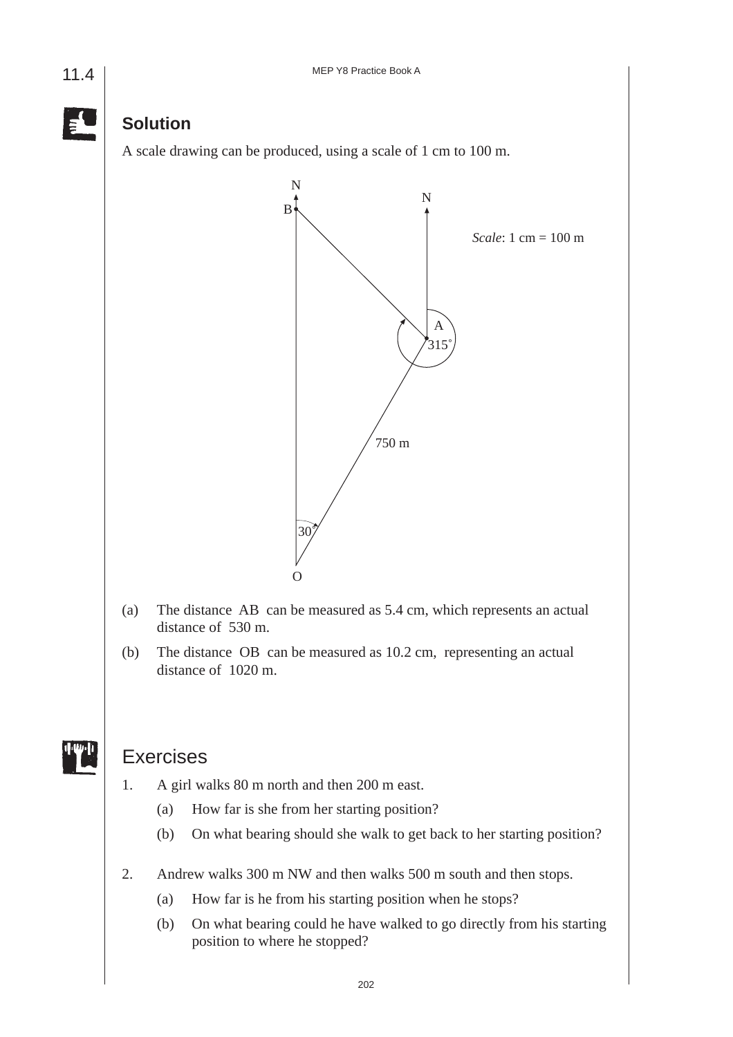

#### **Solution**

A scale drawing can be produced, using a scale of 1 cm to 100 m.



- (a) The distance AB can be measured as 5.4 cm, which represents an actual distance of 530 m.
- (b) The distance OB can be measured as 10.2 cm, representing an actual distance of 1020 m.

#### Exercises

- 1. A girl walks 80 m north and then 200 m east.
	- (a) How far is she from her starting position?
	- (b) On what bearing should she walk to get back to her starting position?
- 2. Andrew walks 300 m NW and then walks 500 m south and then stops.
	- (a) How far is he from his starting position when he stops?
	- (b) On what bearing could he have walked to go directly from his starting position to where he stopped?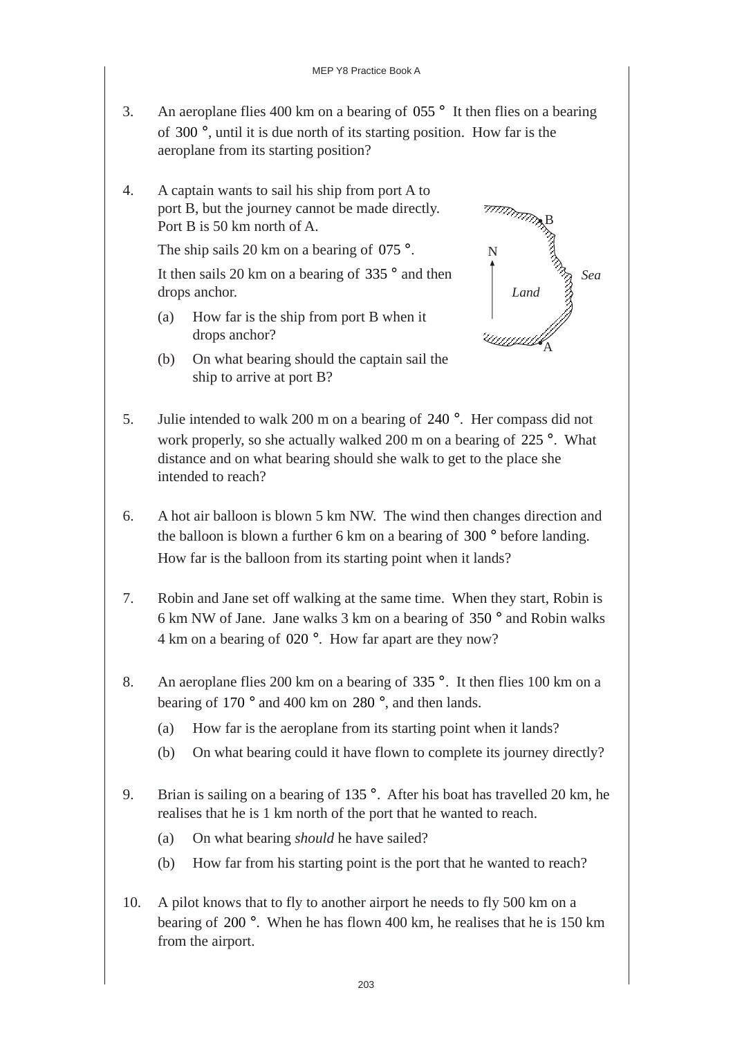- 3. An aeroplane flies 400 km on a bearing of 055 ° It then flies on a bearing of 300 °, until it is due north of its starting position. How far is the aeroplane from its starting position?
- 4. A captain wants to sail his ship from port A to port B, but the journey cannot be made directly. Port B is 50 km north of A.

The ship sails 20 km on a bearing of  $075^\circ$ .

It then sails 20 km on a bearing of  $335^\circ$  and then drops anchor.

- (a) How far is the ship from port B when it drops anchor?
- (b) On what bearing should the captain sail the ship to arrive at port B?



- 5. Julie intended to walk 200 m on a bearing of 240 °. Her compass did not work properly, so she actually walked 200 m on a bearing of 225 °. What distance and on what bearing should she walk to get to the place she intended to reach?
- 6. A hot air balloon is blown 5 km NW. The wind then changes direction and the balloon is blown a further 6 km on a bearing of 300 ° before landing. How far is the balloon from its starting point when it lands?
- 7. Robin and Jane set off walking at the same time. When they start, Robin is 6 km NW of Jane. Jane walks 3 km on a bearing of 350 ° and Robin walks 4 km on a bearing of 020 °. How far apart are they now?
- 8. An aeroplane flies 200 km on a bearing of 335 °. It then flies 100 km on a bearing of 170 ° and 400 km on 280 °, and then lands.
	- (a) How far is the aeroplane from its starting point when it lands?
	- (b) On what bearing could it have flown to complete its journey directly?
- 9. Brian is sailing on a bearing of 135 °. After his boat has travelled 20 km, he realises that he is 1 km north of the port that he wanted to reach.
	- (a) On what bearing *should* he have sailed?
	- (b) How far from his starting point is the port that he wanted to reach?
- 10. A pilot knows that to fly to another airport he needs to fly 500 km on a bearing of 200 °. When he has flown 400 km, he realises that he is 150 km from the airport.